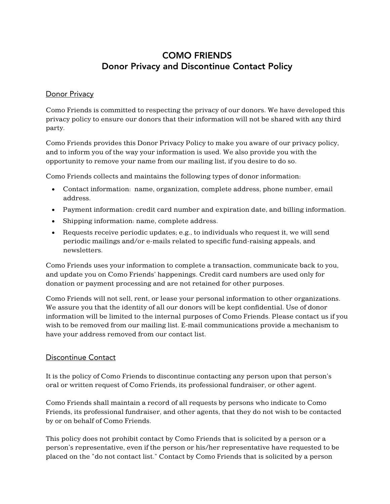## COMO FRIENDS Donor Privacy and Discontinue Contact Policy

## **Donor Privacy**

Como Friends is committed to respecting the privacy of our donors. We have developed this privacy policy to ensure our donors that their information will not be shared with any third party.

Como Friends provides this Donor Privacy Policy to make you aware of our privacy policy, and to inform you of the way your information is used. We also provide you with the opportunity to remove your name from our mailing list, if you desire to do so.

Como Friends collects and maintains the following types of donor information:

- Contact information: name, organization, complete address, phone number, email address.
- Payment information: credit card number and expiration date, and billing information.
- Shipping information: name, complete address.
- Requests receive periodic updates; e.g., to individuals who request it, we will send periodic mailings and/or e-mails related to specific fund-raising appeals, and newsletters.

Como Friends uses your information to complete a transaction, communicate back to you, and update you on Como Friends' happenings. Credit card numbers are used only for donation or payment processing and are not retained for other purposes.

Como Friends will not sell, rent, or lease your personal information to other organizations. We assure you that the identity of all our donors will be kept confidential. Use of donor information will be limited to the internal purposes of Como Friends. Please contact us if you wish to be removed from our mailing list. E-mail communications provide a mechanism to have your address removed from our contact list.

## Discontinue Contact

It is the policy of Como Friends to discontinue contacting any person upon that person's oral or written request of Como Friends, its professional fundraiser, or other agent.

Como Friends shall maintain a record of all requests by persons who indicate to Como Friends, its professional fundraiser, and other agents, that they do not wish to be contacted by or on behalf of Como Friends.

This policy does not prohibit contact by Como Friends that is solicited by a person or a person's representative, even if the person or his/her representative have requested to be placed on the "do not contact list." Contact by Como Friends that is solicited by a person